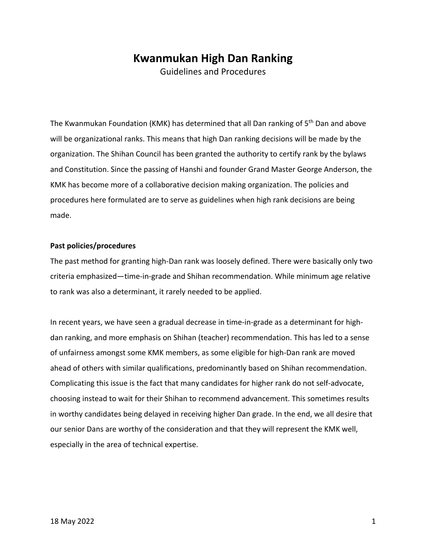# **Kwanmukan High Dan Ranking**

Guidelines and Procedures

The Kwanmukan Foundation (KMK) has determined that all Dan ranking of 5<sup>th</sup> Dan and above will be organizational ranks. This means that high Dan ranking decisions will be made by the organization. The Shihan Council has been granted the authority to certify rank by the bylaws and Constitution. Since the passing of Hanshi and founder Grand Master George Anderson, the KMK has become more of a collaborative decision making organization. The policies and procedures here formulated are to serve as guidelines when high rank decisions are being made.

### **Past policies/procedures**

The past method for granting high-Dan rank was loosely defined. There were basically only two criteria emphasized—time-in-grade and Shihan recommendation. While minimum age relative to rank was also a determinant, it rarely needed to be applied.

In recent years, we have seen a gradual decrease in time-in-grade as a determinant for highdan ranking, and more emphasis on Shihan (teacher) recommendation. This has led to a sense of unfairness amongst some KMK members, as some eligible for high-Dan rank are moved ahead of others with similar qualifications, predominantly based on Shihan recommendation. Complicating this issue is the fact that many candidates for higher rank do not self-advocate, choosing instead to wait for their Shihan to recommend advancement. This sometimes results in worthy candidates being delayed in receiving higher Dan grade. In the end, we all desire that our senior Dans are worthy of the consideration and that they will represent the KMK well, especially in the area of technical expertise.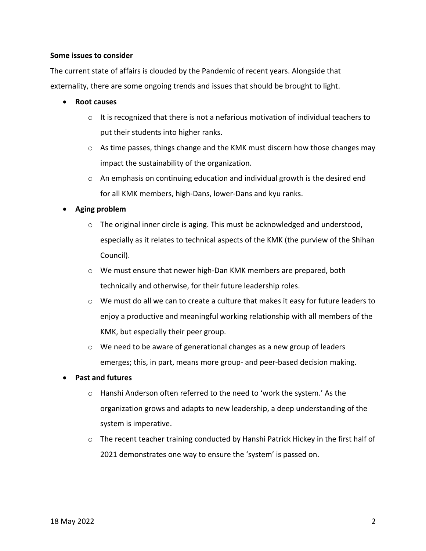## **Some issues to consider**

The current state of affairs is clouded by the Pandemic of recent years. Alongside that externality, there are some ongoing trends and issues that should be brought to light.

## • **Root causes**

- $\circ$  It is recognized that there is not a nefarious motivation of individual teachers to put their students into higher ranks.
- $\circ$  As time passes, things change and the KMK must discern how those changes may impact the sustainability of the organization.
- $\circ$  An emphasis on continuing education and individual growth is the desired end for all KMK members, high-Dans, lower-Dans and kyu ranks.

## • **Aging problem**

- $\circ$  The original inner circle is aging. This must be acknowledged and understood, especially as it relates to technical aspects of the KMK (the purview of the Shihan Council).
- o We must ensure that newer high-Dan KMK members are prepared, both technically and otherwise, for their future leadership roles.
- $\circ$  We must do all we can to create a culture that makes it easy for future leaders to enjoy a productive and meaningful working relationship with all members of the KMK, but especially their peer group.
- o We need to be aware of generational changes as a new group of leaders emerges; this, in part, means more group- and peer-based decision making.

## • **Past and futures**

- o Hanshi Anderson often referred to the need to 'work the system.' As the organization grows and adapts to new leadership, a deep understanding of the system is imperative.
- o The recent teacher training conducted by Hanshi Patrick Hickey in the first half of 2021 demonstrates one way to ensure the 'system' is passed on.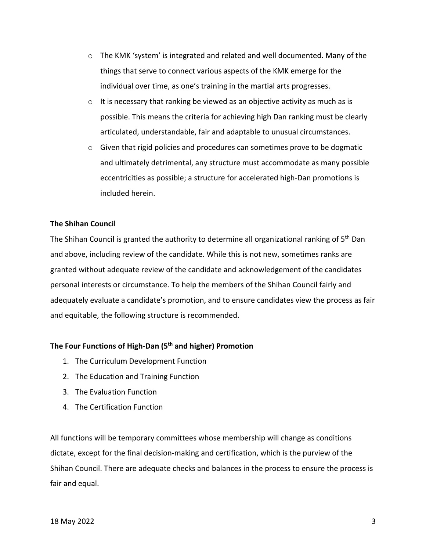- o The KMK 'system' is integrated and related and well documented. Many of the things that serve to connect various aspects of the KMK emerge for the individual over time, as one's training in the martial arts progresses.
- o It is necessary that ranking be viewed as an objective activity as much as is possible. This means the criteria for achieving high Dan ranking must be clearly articulated, understandable, fair and adaptable to unusual circumstances.
- $\circ$  Given that rigid policies and procedures can sometimes prove to be dogmatic and ultimately detrimental, any structure must accommodate as many possible eccentricities as possible; a structure for accelerated high-Dan promotions is included herein.

## **The Shihan Council**

The Shihan Council is granted the authority to determine all organizational ranking of 5<sup>th</sup> Dan and above, including review of the candidate. While this is not new, sometimes ranks are granted without adequate review of the candidate and acknowledgement of the candidates personal interests or circumstance. To help the members of the Shihan Council fairly and adequately evaluate a candidate's promotion, and to ensure candidates view the process as fair and equitable, the following structure is recommended.

# **The Four Functions of High-Dan (5th and higher) Promotion**

- 1. The Curriculum Development Function
- 2. The Education and Training Function
- 3. The Evaluation Function
- 4. The Certification Function

All functions will be temporary committees whose membership will change as conditions dictate, except for the final decision-making and certification, which is the purview of the Shihan Council. There are adequate checks and balances in the process to ensure the process is fair and equal.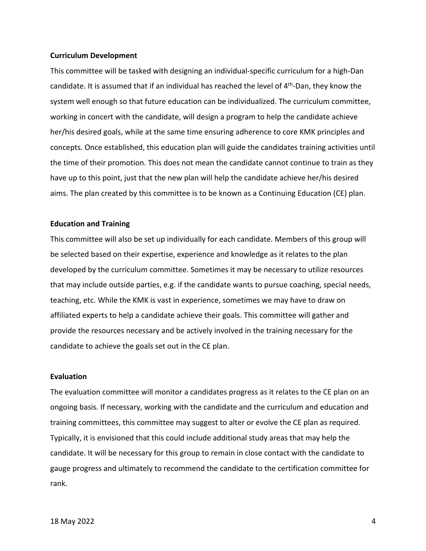#### **Curriculum Development**

This committee will be tasked with designing an individual-specific curriculum for a high-Dan candidate. It is assumed that if an individual has reached the level of  $4<sup>th</sup>$ -Dan, they know the system well enough so that future education can be individualized. The curriculum committee, working in concert with the candidate, will design a program to help the candidate achieve her/his desired goals, while at the same time ensuring adherence to core KMK principles and concepts. Once established, this education plan will guide the candidates training activities until the time of their promotion. This does not mean the candidate cannot continue to train as they have up to this point, just that the new plan will help the candidate achieve her/his desired aims. The plan created by this committee is to be known as a Continuing Education (CE) plan.

#### **Education and Training**

This committee will also be set up individually for each candidate. Members of this group will be selected based on their expertise, experience and knowledge as it relates to the plan developed by the curriculum committee. Sometimes it may be necessary to utilize resources that may include outside parties, e.g. if the candidate wants to pursue coaching, special needs, teaching, etc. While the KMK is vast in experience, sometimes we may have to draw on affiliated experts to help a candidate achieve their goals. This committee will gather and provide the resources necessary and be actively involved in the training necessary for the candidate to achieve the goals set out in the CE plan.

#### **Evaluation**

The evaluation committee will monitor a candidates progress as it relates to the CE plan on an ongoing basis. If necessary, working with the candidate and the curriculum and education and training committees, this committee may suggest to alter or evolve the CE plan as required. Typically, it is envisioned that this could include additional study areas that may help the candidate. It will be necessary for this group to remain in close contact with the candidate to gauge progress and ultimately to recommend the candidate to the certification committee for rank.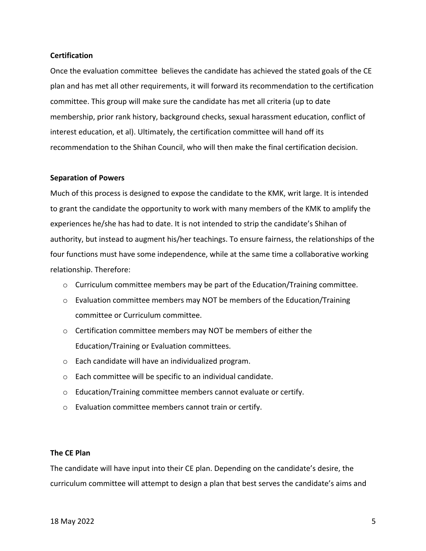# **Certification**

Once the evaluation committee believes the candidate has achieved the stated goals of the CE plan and has met all other requirements, it will forward its recommendation to the certification committee. This group will make sure the candidate has met all criteria (up to date membership, prior rank history, background checks, sexual harassment education, conflict of interest education, et al). Ultimately, the certification committee will hand off its recommendation to the Shihan Council, who will then make the final certification decision.

#### **Separation of Powers**

Much of this process is designed to expose the candidate to the KMK, writ large. It is intended to grant the candidate the opportunity to work with many members of the KMK to amplify the experiences he/she has had to date. It is not intended to strip the candidate's Shihan of authority, but instead to augment his/her teachings. To ensure fairness, the relationships of the four functions must have some independence, while at the same time a collaborative working relationship. Therefore:

- $\circ$  Curriculum committee members may be part of the Education/Training committee.
- o Evaluation committee members may NOT be members of the Education/Training committee or Curriculum committee.
- $\circ$  Certification committee members may NOT be members of either the Education/Training or Evaluation committees.
- o Each candidate will have an individualized program.
- o Each committee will be specific to an individual candidate.
- o Education/Training committee members cannot evaluate or certify.
- o Evaluation committee members cannot train or certify.

## **The CE Plan**

The candidate will have input into their CE plan. Depending on the candidate's desire, the curriculum committee will attempt to design a plan that best serves the candidate's aims and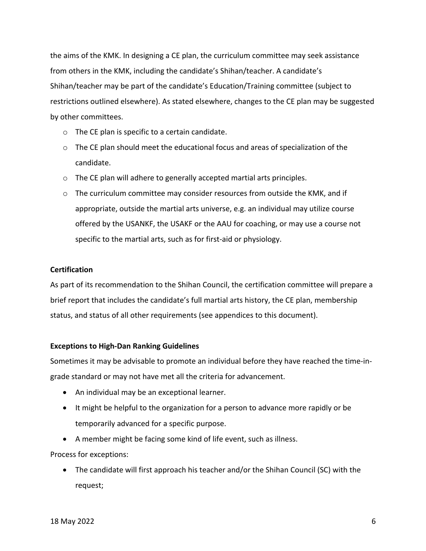the aims of the KMK. In designing a CE plan, the curriculum committee may seek assistance from others in the KMK, including the candidate's Shihan/teacher. A candidate's Shihan/teacher may be part of the candidate's Education/Training committee (subject to restrictions outlined elsewhere). As stated elsewhere, changes to the CE plan may be suggested by other committees.

- $\circ$  The CE plan is specific to a certain candidate.
- $\circ$  The CE plan should meet the educational focus and areas of specialization of the candidate.
- $\circ$  The CE plan will adhere to generally accepted martial arts principles.
- $\circ$  The curriculum committee may consider resources from outside the KMK, and if appropriate, outside the martial arts universe, e.g. an individual may utilize course offered by the USANKF, the USAKF or the AAU for coaching, or may use a course not specific to the martial arts, such as for first-aid or physiology.

# **Certification**

As part of its recommendation to the Shihan Council, the certification committee will prepare a brief report that includes the candidate's full martial arts history, the CE plan, membership status, and status of all other requirements (see appendices to this document).

## **Exceptions to High-Dan Ranking Guidelines**

Sometimes it may be advisable to promote an individual before they have reached the time-ingrade standard or may not have met all the criteria for advancement.

- An individual may be an exceptional learner.
- It might be helpful to the organization for a person to advance more rapidly or be temporarily advanced for a specific purpose.
- A member might be facing some kind of life event, such as illness.

Process for exceptions:

• The candidate will first approach his teacher and/or the Shihan Council (SC) with the request;